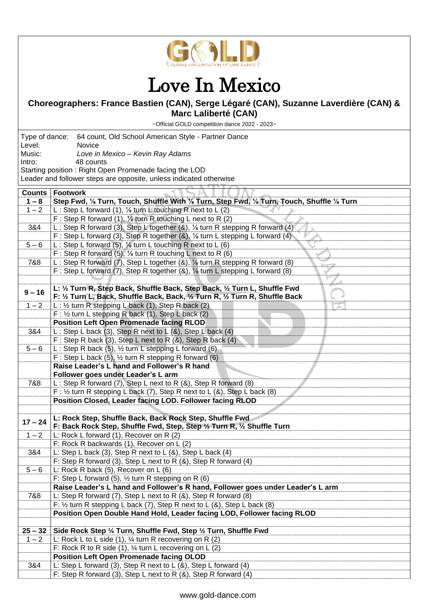

## Love In Mexico

## **Choreographers: France Bastien (CAN), Serge Légaré (CAN), Suzanne Laverdière (CAN) & Marc Laliberté (CAN)**

~Official GOLD competition dance 2022 - 2023~

| Type of dance: 64 count, Old School American Style - Partner Dance |                                                                                                                                                       |
|--------------------------------------------------------------------|-------------------------------------------------------------------------------------------------------------------------------------------------------|
| Level:                                                             | Novice                                                                                                                                                |
| Music:                                                             | Love in Mexico - Kevin Ray Adams                                                                                                                      |
| Intro:                                                             | 48 counts<br>Starting position: Right Open Promenade facing the LOD                                                                                   |
|                                                                    | Leader and follower steps are opposite, unless indicated otherwise                                                                                    |
|                                                                    |                                                                                                                                                       |
| <b>Counts</b>                                                      | <b>Footwork</b>                                                                                                                                       |
| $1 - 8$                                                            | Step Fwd, 1/8 Turn, Touch, Shuffle With 1/8 Turn, Step Fwd, 1/8 Turn, Touch, Shuffle 1/8 Turn                                                         |
| $1 - 2$                                                            | L: Step L forward (1), $\frac{1}{2}$ turn L touching R next to L (2)                                                                                  |
|                                                                    | F: Step R forward (1), $\frac{1}{2}$ turn R touching L next to R (2)                                                                                  |
| 3&4                                                                | L: Step R forward (3), Step L together (&), 1/8 turn R stepping R forward (4)                                                                         |
|                                                                    | F: Step L forward (3), Step R together (&), 1/8 turn L stepping L forward (4)                                                                         |
| $5 - 6$                                                            | L: Step L forward (5), $\frac{1}{2}$ turn L touching R next to L (6)                                                                                  |
| 7&8                                                                | F: Step R forward (5), $\frac{1}{2}$ turn R touching L next to R (6)<br>L: Step R forward (7), Step L together (&), 1/8 turn R stepping R forward (8) |
|                                                                    | F: Step L forward (7), Step R together (&), 1/8 turn L stepping L forward (8)                                                                         |
|                                                                    |                                                                                                                                                       |
|                                                                    | L: 1/2 Turn R, Step Back, Shuffle Back, Step Back, 1/2 Turn L, Shuffle Fwd                                                                            |
| $9 - 16$                                                           | F: 1/2 Turn L, Back, Shuffle Back, Back, 1/2 Turn R, 1/2 Turn R, Shuffle Back                                                                         |
| $1 - 2$                                                            | L: 1/2 turn R stepping L back (1), Step R back (2)                                                                                                    |
|                                                                    | $F: \frac{1}{2}$ turn L stepping R back (1), Step L back (2)                                                                                          |
|                                                                    | <b>Position Left Open Promenade facing RLOD</b>                                                                                                       |
| 3&4                                                                | L: Step L back (3), Step R next to L (&), Step L back (4)                                                                                             |
|                                                                    | F: Step R back (3), Step L next to R $(8)$ , Step R back (4)                                                                                          |
| $5 - 6$                                                            | L: Step R back (5), $\frac{1}{2}$ turn L stepping L forward (6)                                                                                       |
|                                                                    | F: Step L back (5), $\frac{1}{2}$ turn R stepping R forward (6)                                                                                       |
|                                                                    | Raise Leader's L hand and Follower's R hand                                                                                                           |
|                                                                    | Follower goes under Leader's L arm                                                                                                                    |
| 7&8                                                                | L: Step R forward (7), Step L next to R (&), Step R forward (8)<br>F: $\frac{1}{2}$ turn R stepping L back (7), Step R next to L (&), Step L back (8) |
|                                                                    | Position Closed, Leader facing LOD. Follower facing RLOD                                                                                              |
|                                                                    |                                                                                                                                                       |
|                                                                    | L: Rock Step, Shuffle Back, Back Rock Step, Shuffle Fwd                                                                                               |
| $17 - 24$                                                          | F: Back Rock Step, Shuffle Fwd, Step, Step 1/2 Turn R, 1/2 Shuffle Turn                                                                               |
| $1 - 2$                                                            | L: Rock L forward (1), Recover on R (2)                                                                                                               |
|                                                                    | F: Rock R backwards (1), Recover on L (2)                                                                                                             |
| 3&4                                                                | L: Step L back (3), Step R next to L $(8)$ , Step L back $(4)$                                                                                        |
|                                                                    | F: Step R forward (3), Step L next to R (&), Step R forward (4)                                                                                       |
| $5 - 6$                                                            | L: Rock R back $(5)$ , Recover on L $(6)$                                                                                                             |
|                                                                    | F: Step L forward (5), $\frac{1}{2}$ turn R stepping on R (6)                                                                                         |
| 7&8                                                                | Raise Leader's L hand and Follower's R hand, Follower goes under Leader's L arm<br>L: Step R forward (7), Step L next to R (&), Step R forward (8)    |
|                                                                    | F: $\frac{1}{2}$ turn R stepping L back (7), Step R next to L (&), Step L back (8)                                                                    |
|                                                                    | Position Open Double Hand Hold, Leader facing LOD, Follower facing RLOD                                                                               |
|                                                                    |                                                                                                                                                       |
| $25 - 32$                                                          | Side Rock Step 1/4 Turn, Shuffle Fwd, Step 1/2 Turn, Shuffle Fwd                                                                                      |
| $1 - 2$                                                            | L: Rock L to L side $(1)$ , $\frac{1}{4}$ turn R recovering on R $(2)$                                                                                |
|                                                                    | F: Rock R to R side (1), $\frac{1}{4}$ turn L recovering on L (2)                                                                                     |
|                                                                    | <b>Position Left Open Promenade facing OLOD</b>                                                                                                       |
| 3&4                                                                | L: Step L forward (3), Step R next to L $(8)$ , Step L forward $(4)$                                                                                  |
|                                                                    | F: Step R forward (3), Step L next to R (&), Step R forward (4)                                                                                       |